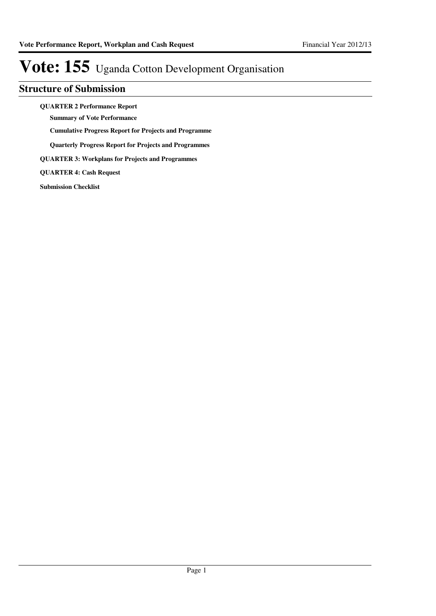### **Structure of Submission**

**QUARTER 2 Performance Report**

**Summary of Vote Performance**

**Cumulative Progress Report for Projects and Programme**

**Quarterly Progress Report for Projects and Programmes**

**QUARTER 3: Workplans for Projects and Programmes**

**QUARTER 4: Cash Request**

**Submission Checklist**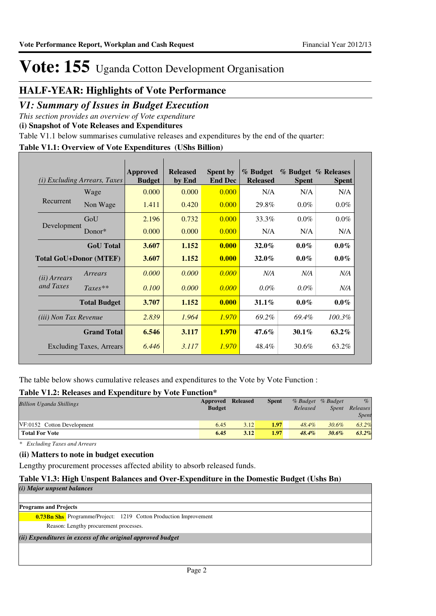## **HALF-YEAR: Highlights of Vote Performance**

### *V1: Summary of Issues in Budget Execution*

*This section provides an overview of Vote expenditure* 

**(i) Snapshot of Vote Releases and Expenditures**

Table V1.1 below summarises cumulative releases and expenditures by the end of the quarter:

### **Table V1.1: Overview of Vote Expenditures (UShs Billion)**

| (i)                           | Excluding Arrears, Taxes        | <b>Approved</b><br><b>Budget</b> | <b>Released</b><br>by End | <b>Spent by</b><br><b>End Dec</b> | % Budget<br><b>Released</b> | <b>Spent</b> | % Budget % Releases<br><b>Spent</b> |
|-------------------------------|---------------------------------|----------------------------------|---------------------------|-----------------------------------|-----------------------------|--------------|-------------------------------------|
|                               | Wage                            | 0.000                            | 0.000                     | 0.000                             | N/A                         | N/A          | N/A                                 |
| Recurrent                     | Non Wage                        | 1.411                            | 0.420                     | 0.000                             | 29.8%                       | $0.0\%$      | $0.0\%$                             |
|                               | GoU                             | 2.196                            | 0.732                     | 0.000                             | 33.3%                       | $0.0\%$      | $0.0\%$                             |
| Development                   | Donor $*$                       | 0.000                            | 0.000                     | 0.000                             | N/A                         | N/A          | N/A                                 |
|                               | <b>GoU</b> Total                | 3.607                            | 1.152                     | 0.000                             | $32.0\%$                    | $0.0\%$      | $0.0\%$                             |
| <b>Total GoU+Donor (MTEF)</b> |                                 | 3.607                            | 1.152                     | 0.000                             | $32.0\%$                    | $0.0\%$      | $0.0\%$                             |
| ( <i>ii</i> ) Arrears         | Arrears                         | 0.000                            | 0.000                     | 0.000                             | N/A                         | N/A          | N/A                                 |
| and Taxes                     | $Taxes**$                       | 0.100                            | 0.000                     | 0.000                             | $0.0\%$                     | $0.0\%$      | N/A                                 |
|                               | <b>Total Budget</b>             | 3.707                            | 1.152                     | 0.000                             | $31.1\%$                    | $0.0\%$      | $0.0\%$                             |
| <i>(iii)</i> Non Tax Revenue  |                                 | 2.839                            | 1.964                     | 1.970                             | 69.2%                       | 69.4%        | 100.3%                              |
|                               | <b>Grand Total</b>              | 6.546                            | 3.117                     | <b>1.970</b>                      | $47.6\%$                    | $30.1\%$     | $63.2\%$                            |
|                               | <b>Excluding Taxes, Arrears</b> | 6.446                            | 3.117                     | 1.970                             | 48.4%                       | 30.6%        | 63.2%                               |

The table below shows cumulative releases and expenditures to the Vote by Vote Function :

### **Table V1.2: Releases and Expenditure by Vote Function\***

| Approved      | <b>Released</b> | <b>Spent</b> |          |          | $\%$              |
|---------------|-----------------|--------------|----------|----------|-------------------|
| <b>Budget</b> |                 |              | Released | Spent    | Releases          |
|               |                 |              |          |          | Spent             |
| 6.45          | 3.12            | 1.97         | $48.4\%$ | $30.6\%$ | 63.2%             |
| 6.45          | 3.12            | 1.97         | $48.4\%$ | 30.6%    | $63.2\%$          |
|               |                 |              | .        |          | % Budget % Budget |

*\* Excluding Taxes and Arrears*

### **(ii) Matters to note in budget execution**

Lengthy procurement processes affected ability to absorb released funds.

### **Table V1.3: High Unspent Balances and Over-Expenditure in the Domestic Budget (Ushs Bn)**

| ( <i>i</i> ) Major unpsent balances                                     |  |
|-------------------------------------------------------------------------|--|
|                                                                         |  |
| <b>Programs and Projects</b>                                            |  |
| <b>0.73Bn Shs</b> Programme/Project: 1219 Cotton Production Improvement |  |
| Reason: Lengthy procurement processes.                                  |  |
| (ii) Expenditures in excess of the original approved budget             |  |
|                                                                         |  |
|                                                                         |  |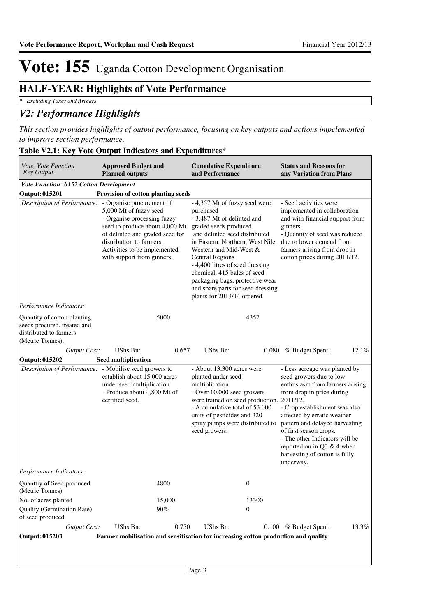## **HALF-YEAR: Highlights of Vote Performance**

*\* Excluding Taxes and Arrears*

## *V2: Performance Highlights*

*This section provides highlights of output performance, focusing on key outputs and actions impelemented to improve section performance.*

| Vote, Vote Function<br><b>Key Output</b>                                                                 | <b>Approved Budget and</b><br><b>Planned outputs</b>                                                                                                                                                                 | <b>Cumulative Expenditure</b><br>and Performance                                                                                                                                                                                                                                                                                                                                              | <b>Status and Reasons for</b><br>any Variation from Plans                                                                                                                                                                                                                                                                                                                      |
|----------------------------------------------------------------------------------------------------------|----------------------------------------------------------------------------------------------------------------------------------------------------------------------------------------------------------------------|-----------------------------------------------------------------------------------------------------------------------------------------------------------------------------------------------------------------------------------------------------------------------------------------------------------------------------------------------------------------------------------------------|--------------------------------------------------------------------------------------------------------------------------------------------------------------------------------------------------------------------------------------------------------------------------------------------------------------------------------------------------------------------------------|
| <b>Vote Function: 0152 Cotton Development</b>                                                            |                                                                                                                                                                                                                      |                                                                                                                                                                                                                                                                                                                                                                                               |                                                                                                                                                                                                                                                                                                                                                                                |
| Output: 015201                                                                                           | Provision of cotton planting seeds                                                                                                                                                                                   |                                                                                                                                                                                                                                                                                                                                                                                               |                                                                                                                                                                                                                                                                                                                                                                                |
| Description of Performance: - Organise procurement of                                                    | 5,000 Mt of fuzzy seed<br>- Organise processing fuzzy<br>seed to produce about 4,000 Mt<br>of delinted and graded seed for<br>distribution to farmers.<br>Activities to be implemented<br>with support from ginners. | - 4,357 Mt of fuzzy seed were<br>purchased<br>- 3,487 Mt of delinted and<br>graded seeds produced<br>and delinted seed distributed<br>in Eastern, Northern, West Nile,<br>Western and Mid-West &<br>Central Regions.<br>- 4,400 litres of seed dressing<br>chemical, 415 bales of seed<br>packaging bags, protective wear<br>and spare parts for seed dressing<br>plants for 2013/14 ordered. | - Seed activities were<br>implemented in collaboration<br>and with financial support from<br>ginners.<br>- Quantity of seed was reduced<br>due to lower demand from<br>farmers arising from drop in<br>cotton prices during 2011/12.                                                                                                                                           |
| Performance Indicators:                                                                                  |                                                                                                                                                                                                                      |                                                                                                                                                                                                                                                                                                                                                                                               |                                                                                                                                                                                                                                                                                                                                                                                |
| Quantity of cotton planting<br>seeds procured, treated and<br>distributed to farmers<br>(Metric Tonnes). | 5000                                                                                                                                                                                                                 | 4357                                                                                                                                                                                                                                                                                                                                                                                          |                                                                                                                                                                                                                                                                                                                                                                                |
| Output Cost:                                                                                             | UShs Bn:<br>0.657                                                                                                                                                                                                    | UShs Bn:<br>0.080                                                                                                                                                                                                                                                                                                                                                                             | 12.1%<br>% Budget Spent:                                                                                                                                                                                                                                                                                                                                                       |
| Output: 015202                                                                                           | <b>Seed multiplication</b>                                                                                                                                                                                           |                                                                                                                                                                                                                                                                                                                                                                                               |                                                                                                                                                                                                                                                                                                                                                                                |
| Description of Performance: - Mobilise seed growers to                                                   | establish about 15,000 acres<br>under seed multiplication<br>- Produce about 4,800 Mt of<br>certified seed.                                                                                                          | - About 13,300 acres were<br>planted under seed<br>multiplication.<br>- Over 10,000 seed growers<br>were trained on seed production.<br>- A cumulative total of 53,000<br>units of pesticides and 320<br>spray pumps were distributed to<br>seed growers.                                                                                                                                     | - Less acreage was planted by<br>seed growers due to low<br>enthusiasm from farmers arising<br>from drop in price during<br>2011/12.<br>- Crop establishment was also<br>affected by erratic weather<br>pattern and delayed harvesting<br>of first season crops.<br>- The other Indicators will be<br>reported on in Q3 & 4 when<br>harvesting of cotton is fully<br>underway. |
| Performance Indicators:                                                                                  |                                                                                                                                                                                                                      |                                                                                                                                                                                                                                                                                                                                                                                               |                                                                                                                                                                                                                                                                                                                                                                                |
| Quanttiy of Seed produced<br>(Metric Tonnes)                                                             | 4800                                                                                                                                                                                                                 | $\bf{0}$                                                                                                                                                                                                                                                                                                                                                                                      |                                                                                                                                                                                                                                                                                                                                                                                |
| No. of acres planted                                                                                     | 15,000                                                                                                                                                                                                               | 13300                                                                                                                                                                                                                                                                                                                                                                                         |                                                                                                                                                                                                                                                                                                                                                                                |
| Quality (Germination Rate)<br>of seed produced                                                           | 90%                                                                                                                                                                                                                  | $\theta$                                                                                                                                                                                                                                                                                                                                                                                      |                                                                                                                                                                                                                                                                                                                                                                                |
| <b>Output Cost:</b>                                                                                      | UShs Bn:<br>0.750                                                                                                                                                                                                    | UShs Bn:                                                                                                                                                                                                                                                                                                                                                                                      | 13.3%<br>$0.100\%$ Budget Spent:                                                                                                                                                                                                                                                                                                                                               |
| Output: 015203                                                                                           |                                                                                                                                                                                                                      | Farmer mobilisation and sensitisation for increasing cotton production and quality                                                                                                                                                                                                                                                                                                            |                                                                                                                                                                                                                                                                                                                                                                                |

### **Table V2.1: Key Vote Output Indicators and Expenditures\***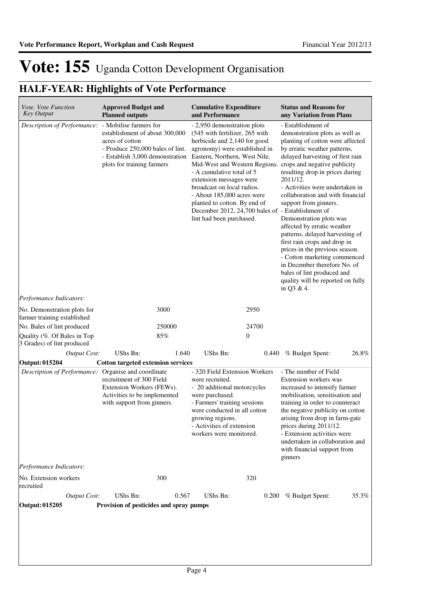## **HALF-YEAR: Highlights of Vote Performance**

| Vote, Vote Function<br><b>Key Output</b>                   | <b>Approved Budget and</b><br><b>Planned outputs</b>                                                                                                   | <b>Cumulative Expenditure</b><br>and Performance                                                                                                                                                                                                                                                                                                                                                                                                                   | <b>Status and Reasons for</b><br>any Variation from Plans                                                                                                                                                                                                                                                                                                                                                                                                                                                                                                                                                                   |
|------------------------------------------------------------|--------------------------------------------------------------------------------------------------------------------------------------------------------|--------------------------------------------------------------------------------------------------------------------------------------------------------------------------------------------------------------------------------------------------------------------------------------------------------------------------------------------------------------------------------------------------------------------------------------------------------------------|-----------------------------------------------------------------------------------------------------------------------------------------------------------------------------------------------------------------------------------------------------------------------------------------------------------------------------------------------------------------------------------------------------------------------------------------------------------------------------------------------------------------------------------------------------------------------------------------------------------------------------|
| Description of Performance: - Mobilise farmers for         | establishment of about 300,000<br>acres of cotton<br>- Produce 250,000 bales of lint.<br>- Establish 3,000 demonstration<br>plots for training farmers | - 2,950 demonstration plots<br>(545 with fertilizer, 265 with<br>herbicide and 2,140 for good<br>agronomy) were established in<br>Eastern, Northern, West Nile,<br>Mid-West and Western Regions. crops and negative publicity<br>- A cumulative total of 5<br>extension messages were<br>broadcast on local radios.<br>- About 185,000 acres were<br>planted to cotton. By end of<br>December 2012, 24,700 bales of - Establishment of<br>lint had been purchased. | - Establishment of<br>demonstration plots as well as<br>planting of cotton were affected<br>by erratic weather patterns,<br>delayed harvesting of first rain<br>resulting drop in prices during<br>2011/12.<br>- Activities were undertaken in<br>collaboration and with financial<br>support from ginners.<br>Demonstration plots was<br>affected by erratic weather<br>patterns, delayed harvesting of<br>first rain crops and drop in<br>prices in the previous season.<br>- Cotton marketing commenced<br>in December therefore No. of<br>bales of lint produced and<br>quality will be reported on fully<br>in Q3 & 4. |
| Performance Indicators:                                    |                                                                                                                                                        |                                                                                                                                                                                                                                                                                                                                                                                                                                                                    |                                                                                                                                                                                                                                                                                                                                                                                                                                                                                                                                                                                                                             |
| No. Demonstration plots for<br>farmer training established | 3000                                                                                                                                                   | 2950                                                                                                                                                                                                                                                                                                                                                                                                                                                               |                                                                                                                                                                                                                                                                                                                                                                                                                                                                                                                                                                                                                             |
| No. Bales of lint produced                                 | 250000                                                                                                                                                 | 24700                                                                                                                                                                                                                                                                                                                                                                                                                                                              |                                                                                                                                                                                                                                                                                                                                                                                                                                                                                                                                                                                                                             |
| Quality (%. Of Bales in Top<br>3 Grades) of lint produced  | 85%                                                                                                                                                    | 0                                                                                                                                                                                                                                                                                                                                                                                                                                                                  |                                                                                                                                                                                                                                                                                                                                                                                                                                                                                                                                                                                                                             |
| <b>Output Cost:</b>                                        | UShs Bn:<br>1.640                                                                                                                                      | UShs Bn:<br>0.440                                                                                                                                                                                                                                                                                                                                                                                                                                                  | % Budget Spent:<br>26.8%                                                                                                                                                                                                                                                                                                                                                                                                                                                                                                                                                                                                    |
| Output: 015204                                             | <b>Cotton targeted extension services</b>                                                                                                              |                                                                                                                                                                                                                                                                                                                                                                                                                                                                    |                                                                                                                                                                                                                                                                                                                                                                                                                                                                                                                                                                                                                             |
| Description of Performance:<br>Performance Indicators:     | Organise and coordinate<br>recruitment of 300 Field<br>Extension Workers (FEWs).<br>Activities to be implemented<br>with support from ginners.         | - 320 Field Extension Workers<br>were recruited.<br>- 20 additional motorcycles<br>were purchased.<br>- Farmers' training sessions<br>were conducted in all cotton<br>growing regions.<br>- Activities of extension<br>workers were monitored.                                                                                                                                                                                                                     | - The number of Field<br>Extension workers was<br>increased to intensify farmer<br>mobilisation, sensitisation and<br>training in order to counteract<br>the negative publicity on cotton<br>arising from drop in farm-gate<br>prices during 2011/12.<br>- Extension activities were<br>undertaken in collaboration and<br>with financial support from<br>ginners                                                                                                                                                                                                                                                           |
| No. Extension workers                                      | 300                                                                                                                                                    | 320                                                                                                                                                                                                                                                                                                                                                                                                                                                                |                                                                                                                                                                                                                                                                                                                                                                                                                                                                                                                                                                                                                             |
| recruited                                                  |                                                                                                                                                        |                                                                                                                                                                                                                                                                                                                                                                                                                                                                    |                                                                                                                                                                                                                                                                                                                                                                                                                                                                                                                                                                                                                             |
| <b>Output Cost:</b><br>Output: 015205                      | <b>UShs Bn:</b><br>0.567<br>Provision of pesticides and spray pumps                                                                                    | UShs Bn:                                                                                                                                                                                                                                                                                                                                                                                                                                                           | 0.200 % Budget Spent:<br>35.3%                                                                                                                                                                                                                                                                                                                                                                                                                                                                                                                                                                                              |
|                                                            |                                                                                                                                                        |                                                                                                                                                                                                                                                                                                                                                                                                                                                                    |                                                                                                                                                                                                                                                                                                                                                                                                                                                                                                                                                                                                                             |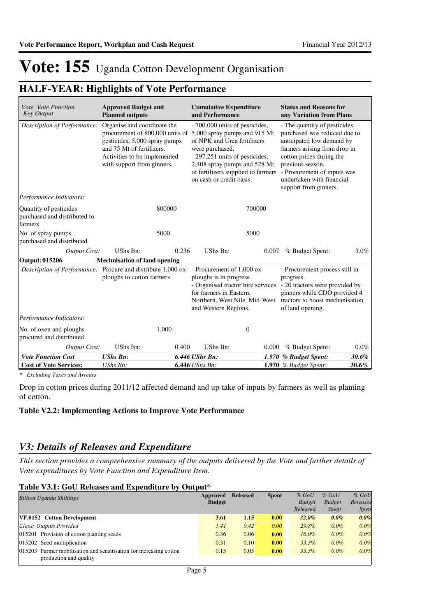## **HALF-YEAR: Highlights of Vote Performance**

| Vote, Vote Function<br><b>Key Output</b>                                                | <b>Approved Budget and</b><br><b>Planned outputs</b>                                                                                                    | <b>Cumulative Expenditure</b><br>and Performance |                                                                                                                                                  | <b>Status and Reasons for</b><br>any Variation from Plans                                                                                                                                                                                                                            |                                                                                                                                                                      |                                                                                                                                                                                                                   |
|-----------------------------------------------------------------------------------------|---------------------------------------------------------------------------------------------------------------------------------------------------------|--------------------------------------------------|--------------------------------------------------------------------------------------------------------------------------------------------------|--------------------------------------------------------------------------------------------------------------------------------------------------------------------------------------------------------------------------------------------------------------------------------------|----------------------------------------------------------------------------------------------------------------------------------------------------------------------|-------------------------------------------------------------------------------------------------------------------------------------------------------------------------------------------------------------------|
| Description of Performance:                                                             | Organise and coordinate the<br>pesticides, 5,000 spray pumps<br>and 75 Mt of fertilizers.<br>Activities to be implemented<br>with support from ginners. |                                                  |                                                                                                                                                  | - 700,000 units of pesticides,<br>procurement of 800,000 units of 5,000 spray pumps and 915 Mt<br>of NPK and Urea fertilizers<br>were purchased.<br>- 297,251 units of pesticides,<br>2,408 spray pumps and 528 Mt<br>of fertilizers supplied to farmers<br>on cash or credit basis. |                                                                                                                                                                      | - The quantity of pesticides<br>purchased was reduced due to<br>anticipated low demand by<br>farmers arising from drop in<br>cotton prices during the<br>- Procurement of inputs was<br>undertaken with financial |
| Performance Indicators:                                                                 |                                                                                                                                                         |                                                  |                                                                                                                                                  |                                                                                                                                                                                                                                                                                      |                                                                                                                                                                      |                                                                                                                                                                                                                   |
| Quantity of pesticides<br>purchased and distributed to<br>farmers                       | 800000                                                                                                                                                  |                                                  |                                                                                                                                                  | 700000                                                                                                                                                                                                                                                                               |                                                                                                                                                                      |                                                                                                                                                                                                                   |
| No. of spray pumps<br>purchased and distributed                                         | 5000                                                                                                                                                    |                                                  |                                                                                                                                                  | 5000                                                                                                                                                                                                                                                                                 |                                                                                                                                                                      |                                                                                                                                                                                                                   |
| <b>Output Cost:</b>                                                                     | UShs Bn:                                                                                                                                                | 0.236                                            | UShs Bn:                                                                                                                                         | 0.007                                                                                                                                                                                                                                                                                | % Budget Spent:                                                                                                                                                      | 3.0%                                                                                                                                                                                                              |
| Output: 015206                                                                          | <b>Mechnisation of land opening</b>                                                                                                                     |                                                  |                                                                                                                                                  |                                                                                                                                                                                                                                                                                      |                                                                                                                                                                      |                                                                                                                                                                                                                   |
| Description of Performance: Procure and distribute 1,000 ox- - Procurement of 1,000 ox- | ploughs to cotton farmers                                                                                                                               |                                                  | ploughs is in progress.<br>- Organised tractor hire services<br>for farmers in Eastern,<br>Northern, West Nile, Mid-West<br>and Western Regions. |                                                                                                                                                                                                                                                                                      | - Procurement process still in<br>progress.<br>- 20 tractors were provided by<br>ginners while CDO provided 4<br>tractors to boost mechanisation<br>of land opening. |                                                                                                                                                                                                                   |
| Performance Indicators:                                                                 |                                                                                                                                                         |                                                  |                                                                                                                                                  |                                                                                                                                                                                                                                                                                      |                                                                                                                                                                      |                                                                                                                                                                                                                   |
| No. of oxen and ploughs<br>procured and distributed                                     | 1,000                                                                                                                                                   |                                                  | $\theta$                                                                                                                                         |                                                                                                                                                                                                                                                                                      |                                                                                                                                                                      |                                                                                                                                                                                                                   |
| Output Cost:                                                                            | UShs Bn:                                                                                                                                                | 0.400                                            | <b>UShs Bn:</b>                                                                                                                                  | 0.000                                                                                                                                                                                                                                                                                | % Budget Spent:                                                                                                                                                      | $0.0\%$                                                                                                                                                                                                           |
| <b>Vote Function Cost</b>                                                               | <b>UShs Bn:</b>                                                                                                                                         |                                                  | 6.446 UShs Bn:                                                                                                                                   |                                                                                                                                                                                                                                                                                      | 1.970 % Budget Spent:                                                                                                                                                | 30.6%                                                                                                                                                                                                             |
| <b>Cost of Vote Services:</b>                                                           | $UShs Bn$ :                                                                                                                                             |                                                  | 6.446 UShs Bn:                                                                                                                                   |                                                                                                                                                                                                                                                                                      | 1.970 $%$ Budget Spent:                                                                                                                                              | 30.6%                                                                                                                                                                                                             |

*\* Excluding Taxes and Arrears*

Drop in cotton prices during 2011/12 affected demand and up-take of inputs by farmers as well as planting of cotton.

### **Table V2.2: Implementing Actions to Improve Vote Performance**

### *V3: Details of Releases and Expenditure*

*This section provides a comprehensive summary of the outputs delivered by the Vote and further details of Vote expenditures by Vote Function and Expenditure Item.*

### **Table V3.1: GoU Releases and Expenditure by Output\***

| <b>Billion Uganda Shillings</b>                                    | Approved<br><b>Budget</b> | <b>Released</b> | <b>Spent</b> | $%$ GoU<br><b>Budget</b> | $%$ GoU<br><b>Budget</b> | $%$ GoU<br>Releases |
|--------------------------------------------------------------------|---------------------------|-----------------|--------------|--------------------------|--------------------------|---------------------|
|                                                                    |                           |                 |              | Released                 | <i>Spent</i>             | <i>Spen</i>         |
| VF:0152 Cotton Development                                         | 3.61                      | 1.15            | 0.00         | $32.0\%$                 | $0.0\%$                  | $0.0\%$             |
| Class: Outputs Provided                                            | 1.41                      | 0.42            | 0.00         | 29.8%                    | $0.0\%$                  | 0.0%                |
| 015201 Provision of cotton planting seeds                          | 0.36                      | 0.06            | 0.00         | $16.0\%$                 | $0.0\%$                  | 0.0%                |
| 015202 Seed multiplication                                         | 0.31                      | 0.10            | 0.00         | 33.3%                    | $0.0\%$                  | 0.0%                |
| 015203 Farmer mobilisation and sensitisation for increasing cotton | 0.15                      | 0.05            | 0.00         | 33.3%                    | $0.0\%$                  | 0.0%                |
| production and quality                                             |                           |                 |              |                          |                          |                     |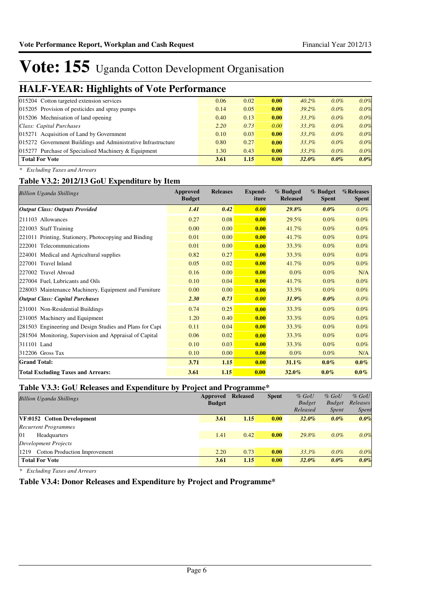## **HALF-YEAR: Highlights of Vote Performance**

| ີ<br>. .                                                      |      |      |      |          |         |      |
|---------------------------------------------------------------|------|------|------|----------|---------|------|
| 015204 Cotton targeted extension services                     | 0.06 | 0.02 | 0.00 | $40.2\%$ | $0.0\%$ | 0.0% |
| 015205 Provision of pesticides and spray pumps                | 0.14 | 0.05 | 0.00 | $39.2\%$ | $0.0\%$ | 0.0% |
| 015206 Mechnisation of land opening                           | 0.40 | 0.13 | 0.00 | $33.3\%$ | $0.0\%$ | 0.0% |
| Class: Capital Purchases                                      | 2.20 | 0.73 | 0.00 | $33.3\%$ | $0.0\%$ | 0.0% |
| 015271 Acquisition of Land by Government                      | 0.10 | 0.03 | 0.00 | 33.3%    | $0.0\%$ | 0.0% |
| 015272 Government Buildings and Administrative Infrastructure | 0.80 | 0.27 | 0.00 | $33.3\%$ | $0.0\%$ | 0.0% |
| $015277$ Purchase of Specialised Machinery & Equipment        | 1.30 | 0.43 | 0.00 | $33.3\%$ | $0.0\%$ | 0.0% |
| <b>Total For Vote</b>                                         | 3.61 | 1.15 | 0.00 | $32.0\%$ | $0.0\%$ | 0.0% |
|                                                               |      |      |      |          |         |      |

*\* Excluding Taxes and Arrears*

### **Table V3.2: 2012/13 GoU Expenditure by Item**

| <b>Billion Uganda Shillings</b>                          | Approved<br><b>Budget</b> | <b>Releases</b> | Expend-<br>iture | % Budged<br><b>Released</b> | % Budget<br><b>Spent</b> | %Releases<br><b>Spent</b> |
|----------------------------------------------------------|---------------------------|-----------------|------------------|-----------------------------|--------------------------|---------------------------|
| <b>Output Class: Outputs Provided</b>                    | 1.41                      | 0.42            | 0.00             | $29.8\%$                    | $0.0\%$                  | $0.0\%$                   |
| 211103 Allowances                                        | 0.27                      | 0.08            | 0.00             | 29.5%                       | $0.0\%$                  | $0.0\%$                   |
| 221003 Staff Training                                    | 0.00                      | 0.00            | 0.00             | 41.7%                       | $0.0\%$                  | $0.0\%$                   |
| 221011 Printing, Stationery, Photocopying and Binding    | 0.01                      | 0.00            | 0.00             | 41.7%                       | $0.0\%$                  | $0.0\%$                   |
| 222001 Telecommunications                                | 0.01                      | 0.00            | 0.00             | 33.3%                       | $0.0\%$                  | $0.0\%$                   |
| 224001 Medical and Agricultural supplies                 | 0.82                      | 0.27            | 0.00             | 33.3%                       | $0.0\%$                  | $0.0\%$                   |
| 227001 Travel Inland                                     | 0.05                      | 0.02            | 0.00             | 41.7%                       | $0.0\%$                  | $0.0\%$                   |
| 227002 Travel Abroad                                     | 0.16                      | 0.00            | 0.00             | $0.0\%$                     | $0.0\%$                  | N/A                       |
| 227004 Fuel, Lubricants and Oils                         | 0.10                      | 0.04            | 0.00             | 41.7%                       | $0.0\%$                  | $0.0\%$                   |
| 228003 Maintenance Machinery, Equipment and Furniture    | 0.00                      | 0.00            | 0.00             | 33.3%                       | $0.0\%$                  | 0.0%                      |
| <b>Output Class: Capital Purchases</b>                   | 2.30                      | 0.73            | 0.00             | 31.9%                       | $0.0\%$                  | 0.0%                      |
| 231001 Non-Residential Buildings                         | 0.74                      | 0.25            | 0.00             | 33.3%                       | $0.0\%$                  | 0.0%                      |
| 231005 Machinery and Equipment                           | 1.20                      | 0.40            | 0.00             | 33.3%                       | $0.0\%$                  | $0.0\%$                   |
| 281503 Engineering and Design Studies and Plans for Capi | 0.11                      | 0.04            | 0.00             | 33.3%                       | $0.0\%$                  | $0.0\%$                   |
| 281504 Monitoring, Supervision and Appraisal of Capital  | 0.06                      | 0.02            | 0.00             | 33.3%                       | $0.0\%$                  | $0.0\%$                   |
| 311101 Land                                              | 0.10                      | 0.03            | 0.00             | 33.3%                       | $0.0\%$                  | $0.0\%$                   |
| $312206$ Gross Tax                                       | 0.10                      | 0.00            | 0.00             | $0.0\%$                     | $0.0\%$                  | N/A                       |
| <b>Grand Total:</b>                                      | 3.71                      | 1.15            | 0.00             | 31.1%                       | $0.0\%$                  | $0.0\%$                   |
| <b>Total Excluding Taxes and Arrears:</b>                | 3.61                      | 1.15            | 0.00             | $32.0\%$                    | $0.0\%$                  | $0.0\%$                   |

### **Table V3.3: GoU Releases and Expenditure by Project and Programme\***

| <b>Billion Uganda Shillings</b>              | Approved      | <b>Released</b> | <b>Spent</b> | $%$ GoU       | $%$ GoU       | $%$ GoU      |
|----------------------------------------------|---------------|-----------------|--------------|---------------|---------------|--------------|
|                                              | <b>Budget</b> |                 |              | <b>Budget</b> | <b>Budget</b> | Releases     |
|                                              |               |                 |              | Released      | <i>Spent</i>  | <b>Spent</b> |
| VF:0152 Cotton Development                   | 3.61          | 1.15            | 0.00         | $32.0\%$      | $0.0\%$       | 0.0%         |
| <b>Recurrent Programmes</b>                  |               |                 |              |               |               |              |
| 01<br>Headquarters                           | 1.41          | 0.42            | 0.00         | 29.8%         | $0.0\%$       | 0.0%         |
| Development Projects                         |               |                 |              |               |               |              |
| <b>Cotton Production Improvement</b><br>1219 | 2.20          | 0.73            | 0.00         | $33.3\%$      | $0.0\%$       | 0.0%         |
| <b>Total For Vote</b>                        | 3.61          | 1.15            | 0.00         | $32.0\%$      | $0.0\%$       | 0.0%         |

*\* Excluding Taxes and Arrears*

**Table V3.4: Donor Releases and Expenditure by Project and Programme\***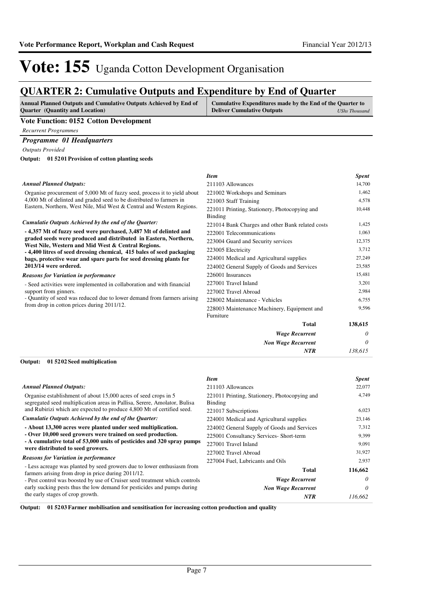*Non Wage Recurrent*

*NTR*

*0 138,615*

# Vote: 155 Uganda Cotton Development Organisation

## **QUARTER 2: Cumulative Outputs and Expenditure by End of Quarter**

| <b>Annual Planned Outputs and Cumulative Outputs Achieved by End of</b> | Cumulative Expenditures made by the End of the Quarter to |
|-------------------------------------------------------------------------|-----------------------------------------------------------|
| <b>Ouarter</b> (Quantity and Location)                                  | <b>Deliver Cumulative Outputs</b><br>UShs Thousand        |
| <b>TT . TT</b><br>$\sim$ $\sim$ $\sim$ $\sim$                           |                                                           |

#### **Vote Function: 0152 Cotton Development**

*Recurrent Programmes*

### *Programme 01 Headquarters*

*Outputs Provided*

**01 5201 Provision of cotton planting seeds Output:**

#### Organise procurement of 5,000 Mt of fuzzy seed, process it to yield about 4,000 Mt of delinted and graded seed to be distributed to farmers in Eastern, Northern, West Nile, Mid West & Central and Western Regions. **- 4,357 Mt of fuzzy seed were purchased, 3,487 Mt of delinted and graded seeds were produced and distributed in Eastern, Northern, West Nile, Western and Mid West & Central Regions. - 4,400 litres of seed dressing chemical, 415 bales of seed packaging bags, protective wear and spare parts for seed dressing plants for 2013/14 were ordered.** *Wage Recurrent* **Total** *0* **138,615** *Cumulatie Outputs Achieved by the end of the Quarter: Annual Planned Outputs:* - Seed activities were implemented in collaboration and with financial support from ginners. - Quantity of seed was reduced due to lower demand from farmers arising from drop in cotton prices during 2011/12. *Reasons for Variation in performance Item Spent* 211103 Allowances 14,700 221002 Workshops and Seminars 1,462 221003 Staff Training 4,578 221011 Printing, Stationery, Photocopying and Binding 10,448 221014 Bank Charges and other Bank related costs 1,425 222001 Telecommunications 1,063 223004 Guard and Security services 12,375 223005 Electricity 3,712 224001 Medical and Agricultural supplies 27,249 224002 General Supply of Goods and Services 23,585 226001 Insurances 15,481 227001 Travel Inland 3,201 227002 Travel Abroad 2,984 228002 Maintenance - Vehicles 6,755 228003 Maintenance Machinery, Equipment and Furniture 9,596

#### **01 5202 Seed multiplication Output:**

|                                                                                                                                              | <b>Item</b>                                              | <b>Spent</b> |
|----------------------------------------------------------------------------------------------------------------------------------------------|----------------------------------------------------------|--------------|
| <b>Annual Planned Outputs:</b>                                                                                                               | 211103 Allowances                                        | 22,077       |
| Organise establishment of about 15,000 acres of seed crops in 5<br>segregated seed multiplication areas in Pallisa, Serere, Amolator, Bulisa | 221011 Printing, Stationery, Photocopying and<br>Binding | 4.749        |
| and Rubirizi which are expected to produce 4,800 Mt of certified seed.                                                                       | 221017 Subscriptions                                     | 6,023        |
| Cumulatie Outputs Achieved by the end of the Quarter:                                                                                        | 224001 Medical and Agricultural supplies                 | 23,146       |
| - About 13,300 acres were planted under seed multiplication.                                                                                 | 224002 General Supply of Goods and Services              | 7,312        |
| - Over 10,000 seed growers were trained on seed production.                                                                                  | 225001 Consultancy Services- Short-term                  | 9,399        |
| - A cumulative total of 53,000 units of pesticides and 320 spray pumps<br>were distributed to seed growers.                                  | 227001 Travel Inland                                     | 9,091        |
|                                                                                                                                              | 227002 Travel Abroad                                     | 31,927       |
| <b>Reasons for Variation in performance</b>                                                                                                  | 227004 Fuel, Lubricants and Oils                         | 2,937        |
| - Less acreage was planted by seed growers due to lower enthusiasm from<br>farmers arising from drop in price during 2011/12.                | Total                                                    | 116,662      |
| - Pest control was boosted by use of Cruiser seed treatment which controls                                                                   | <b>Wage Recurrent</b>                                    | $\theta$     |
| early sucking pests thus the low demand for pesticides and pumps during                                                                      | <b>Non Wage Recurrent</b>                                | $\theta$     |
| the early stages of crop growth.                                                                                                             | <b>NTR</b>                                               | 116,662      |

**Output: 01 5203 Farmer mobilisation and sensitisation for increasing cotton production and quality**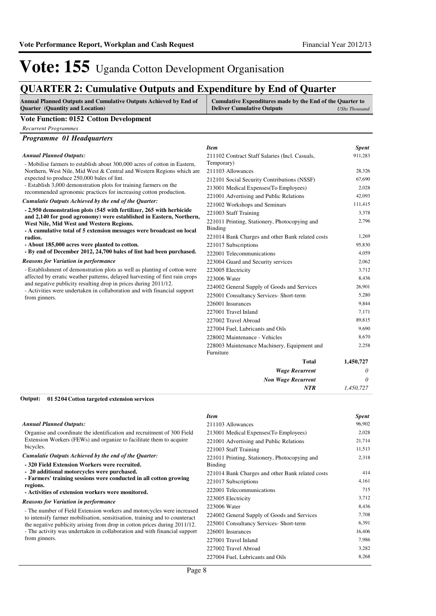## **QUARTER 2: Cumulative Outputs and Expenditure by End of Quarter**

| <b>Annual Planned Outputs and Cumulative Outputs Achieved by End of</b> | Cumulative Expenditures made by the End of the Quarter to |               |
|-------------------------------------------------------------------------|-----------------------------------------------------------|---------------|
| <b>Quarter</b> (Quantity and Location)                                  | <b>Deliver Cumulative Outputs</b>                         | UShs Thousand |

#### **Vote Function: 0152 Cotton Development**

*Recurrent Programmes*

*Programme 01 Headquarters*

|                                                                                                                                                                                                                                              | <b>Item</b>                                      | <b>Spent</b> |
|----------------------------------------------------------------------------------------------------------------------------------------------------------------------------------------------------------------------------------------------|--------------------------------------------------|--------------|
| <b>Annual Planned Outputs:</b><br>- Mobilise farmers to establish about 300,000 acres of cotton in Eastern,<br>Northern, West Nile, Mid West & Central and Western Regions which are                                                         | 211102 Contract Staff Salaries (Incl. Casuals,   | 911,283      |
|                                                                                                                                                                                                                                              | Temporary)                                       |              |
|                                                                                                                                                                                                                                              | 211103 Allowances                                | 28,326       |
| expected to produce 250,000 bales of lint.                                                                                                                                                                                                   | 212101 Social Security Contributions (NSSF)      | 67,690       |
| - Establish 3,000 demonstration plots for training farmers on the<br>recommended agronomic practices for increasing cotton production.                                                                                                       | 213001 Medical Expenses (To Employees)           | 2,028        |
| Cumulatie Outputs Achieved by the end of the Ouarter:                                                                                                                                                                                        | 221001 Advertising and Public Relations          | 42,093       |
|                                                                                                                                                                                                                                              | 221002 Workshops and Seminars                    | 111,415      |
| - 2,950 demonstration plots (545 with fertilizer, 265 with herbicide<br>and 2,140 for good agronomy) were established in Eastern, Northern,                                                                                                  | 221003 Staff Training                            | 3,378        |
| West Nile, Mid West and Western Regions.                                                                                                                                                                                                     | 221011 Printing, Stationery, Photocopying and    | 2,796        |
| - A cumulative total of 5 extension messages were broadcast on local                                                                                                                                                                         | Binding                                          |              |
| radios.                                                                                                                                                                                                                                      | 221014 Bank Charges and other Bank related costs | 1,269        |
| - About 185,000 acres were planted to cotton.                                                                                                                                                                                                | 221017 Subscriptions                             | 95,830       |
| - By end of December 2012, 24,700 bales of lint had been purchased.                                                                                                                                                                          | 222001 Telecommunications                        | 4,059        |
| <b>Reasons for Variation in performance</b>                                                                                                                                                                                                  | 223004 Guard and Security services               | 2,062        |
| - Establishment of demonstration plots as well as planting of cotton were                                                                                                                                                                    | 223005 Electricity                               | 3,712        |
| affected by erratic weather patterns, delayed harvesting of first rain crops<br>and negative publicity resulting drop in prices during 2011/12.<br>- Activities were undertaken in collaboration and with financial support<br>from ginners. | 223006 Water                                     | 8,436        |
|                                                                                                                                                                                                                                              | 224002 General Supply of Goods and Services      | 26,901       |
|                                                                                                                                                                                                                                              | 225001 Consultancy Services- Short-term          | 5,280        |
|                                                                                                                                                                                                                                              | 226001 Insurances                                | 9,844        |
|                                                                                                                                                                                                                                              | 227001 Travel Inland                             | 7,171        |
|                                                                                                                                                                                                                                              | 227002 Travel Abroad                             | 89,815       |
|                                                                                                                                                                                                                                              | 227004 Fuel, Lubricants and Oils                 | 9,690        |
|                                                                                                                                                                                                                                              | 228002 Maintenance - Vehicles                    | 8,670        |
|                                                                                                                                                                                                                                              | 228003 Maintenance Machinery, Equipment and      | 2,258        |
|                                                                                                                                                                                                                                              | Furniture                                        |              |
|                                                                                                                                                                                                                                              | <b>Total</b>                                     | 1,450,727    |
|                                                                                                                                                                                                                                              | <b>Wage Recurrent</b>                            | 0            |

**01 5204 Cotton targeted extension services Output:**

#### *Annual Planned Outputs:*

Organise and coordinate the identification and recruitment of 300 Field Extension Workers (FEWs) and organize to facilitate them to acquire bicycles.

*Cumulatie Outputs Achieved by the end of the Quarter:*

- **320 Field Extension Workers were recruited.**
- **20 additional motorcycles were purchased.**
- **Farmers' training sessions were conducted in all cotton growing regions.**

**- Activities of extension workers were monitored.**

#### *Reasons for Variation in performance*

- The number of Field Extension workers and motorcycles were increased to intensify farmer mobilisation, sensitisation, training and to counteract the negative publicity arising from drop in cotton prices during 2011/12. - The activity was undertaken in collaboration and with financial support from ginners.

#### *Item Spent* 211103 Allowances 96,902 213001 Medical Expenses(To Employees) 2,028 221001 Advertising and Public Relations 21,714 221003 Staff Training 11,513 221011 Printing, Stationery, Photocopying and Binding 2,318 221014 Bank Charges and other Bank related costs 414 221017 Subscriptions 4,161 222001 Telecommunications 715 223005 Electricity 3,712 223006 Water 8,436 224002 General Supply of Goods and Services 7,708 225001 Consultancy Services- Short-term 6,391 226001 Insurances 16,406 227001 Travel Inland 7,986 227002 Travel Abroad 3,282

227004 Fuel, Lubricants and Oils 8,268

*Non Wage Recurrent*

*NTR*

*0 1,450,727*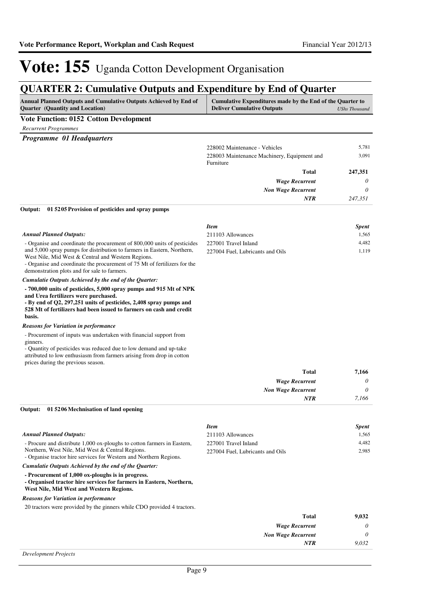*7,166*

*NTR*

# Vote: 155 Uganda Cotton Development Organisation

## **QUARTER 2: Cumulative Outputs and Expenditure by End of Quarter**

| <b>Annual Planned Outputs and Cumulative Outputs Achieved by End of</b> | Cumulative Expenditures made by the End of the Quarter to |               |
|-------------------------------------------------------------------------|-----------------------------------------------------------|---------------|
| <b>Ouarter</b> (Quantity and Location)                                  | <b>Deliver Cumulative Outputs</b>                         | UShs Thousand |

### **Vote Function: 0152 Cotton Development**

*Recurrent Programmes Programme 01 Headquarters*

| <i>Programme VI Headquarters</i> |                                             |          |
|----------------------------------|---------------------------------------------|----------|
|                                  | 228002 Maintenance - Vehicles               | 5,781    |
|                                  | 228003 Maintenance Machinery, Equipment and | 3,091    |
|                                  | Furniture                                   |          |
|                                  | <b>Total</b>                                | 247,351  |
|                                  | <b>Wage Recurrent</b>                       | $\theta$ |
|                                  | <b>Non Wage Recurrent</b>                   | $\theta$ |
|                                  | <b>NTR</b>                                  | 247,351  |

#### **01 5205 Provision of pesticides and spray pumps Output:**

|                                                                                                                                                                                                                                                                     | <b>Item</b>                      | <b>Spent</b> |
|---------------------------------------------------------------------------------------------------------------------------------------------------------------------------------------------------------------------------------------------------------------------|----------------------------------|--------------|
| <b>Annual Planned Outputs:</b>                                                                                                                                                                                                                                      | 211103 Allowances                | 1,565        |
| - Organise and coordinate the procurement of 800,000 units of pesticides                                                                                                                                                                                            | 227001 Travel Inland             | 4,482        |
| and 5,000 spray pumps for distribution to farmers in Eastern, Northern,<br>West Nile, Mid West & Central and Western Regions.<br>- Organise and coordinate the procurement of 75 Mt of fertilizers for the<br>demonstration plots and for sale to farmers.          | 227004 Fuel, Lubricants and Oils | 1.119        |
| Cumulatie Outputs Achieved by the end of the Quarter:                                                                                                                                                                                                               |                                  |              |
| - 700,000 units of pesticides, 5,000 spray pumps and 915 Mt of NPK<br>and Urea fertilizers were purchased.<br>- By end of Q2, 297,251 units of pesticides, 2,408 spray pumps and<br>528 Mt of fertilizers had been issued to farmers on cash and credit<br>basis.   |                                  |              |
| <b>Reasons for Variation in performance</b>                                                                                                                                                                                                                         |                                  |              |
| - Procurement of inputs was undertaken with financial support from<br>ginners.<br>- Quantity of pesticides was reduced due to low demand and up-take<br>attributed to low enthusiasm from farmers arising from drop in cotton<br>prices during the previous season. |                                  |              |
|                                                                                                                                                                                                                                                                     | <b>Total</b>                     | 7,166        |
|                                                                                                                                                                                                                                                                     | <b>Wage Recurrent</b>            | 0            |
|                                                                                                                                                                                                                                                                     | <b>Non Wage Recurrent</b>        | $\theta$     |

#### **01 5206 Mechnisation of land opening Output:**

|                                                                                                                                                                      | <b>Item</b>                      | <b>Spent</b> |
|----------------------------------------------------------------------------------------------------------------------------------------------------------------------|----------------------------------|--------------|
| <b>Annual Planned Outputs:</b>                                                                                                                                       | 211103 Allowances                | 1,565        |
| - Procure and distribute 1,000 ox-ploughs to cotton farmers in Eastern,                                                                                              | 227001 Travel Inland             | 4,482        |
| Northern, West Nile, Mid West & Central Regions.<br>- Organise tractor hire services for Western and Northern Regions.                                               | 227004 Fuel, Lubricants and Oils | 2,985        |
| Cumulatie Outputs Achieved by the end of the Quarter:                                                                                                                |                                  |              |
| - Procurement of 1,000 ox-ploughs is in progress.<br>- Organised tractor hire services for farmers in Eastern, Northern,<br>West Nile, Mid West and Western Regions. |                                  |              |
| <b>Reasons for Variation in performance</b>                                                                                                                          |                                  |              |
| 20 tractors were provided by the ginners while CDO provided 4 tractors.                                                                                              |                                  |              |
|                                                                                                                                                                      | Total                            | 9,032        |
|                                                                                                                                                                      | <b>Wage Recurrent</b>            | $\theta$     |
|                                                                                                                                                                      | <b>Non Wage Recurrent</b>        | $\theta$     |
|                                                                                                                                                                      | <b>NTR</b>                       | 9.032        |

#### *Development Projects*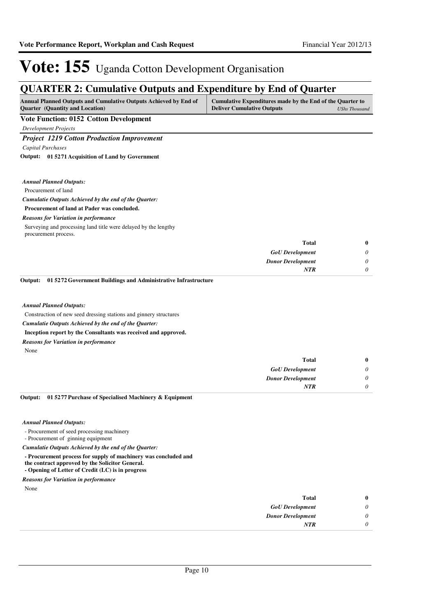## **QUARTER 2: Cumulative Outputs and Expenditure by End of Quarter**

| Annual Planned Outputs and Cumulative Outputs Achieved by End of<br><b>Quarter</b> (Quantity and Location) | Cumulative Expenditures made by the End of the Quarter to<br><b>Deliver Cumulative Outputs</b> | <b>UShs Thousand</b>  |
|------------------------------------------------------------------------------------------------------------|------------------------------------------------------------------------------------------------|-----------------------|
| <b>Vote Function: 0152 Cotton Development</b>                                                              |                                                                                                |                       |
| <b>Development Projects</b>                                                                                |                                                                                                |                       |
| <b>Project 1219 Cotton Production Improvement</b>                                                          |                                                                                                |                       |
| Capital Purchases                                                                                          |                                                                                                |                       |
| Output: 01 5271 Acquisition of Land by Government                                                          |                                                                                                |                       |
| <b>Annual Planned Outputs:</b>                                                                             |                                                                                                |                       |
| Procurement of land                                                                                        |                                                                                                |                       |
| Cumulatie Outputs Achieved by the end of the Quarter:                                                      |                                                                                                |                       |
| Procurement of land at Pader was concluded.                                                                |                                                                                                |                       |
| <b>Reasons for Variation in performance</b>                                                                |                                                                                                |                       |
| Surveying and processing land title were delayed by the lengthy<br>procurement process.                    |                                                                                                |                       |
|                                                                                                            | <b>Total</b>                                                                                   | $\bf{0}$              |
|                                                                                                            | <b>GoU</b> Development                                                                         | 0                     |
|                                                                                                            | <b>Donor Development</b>                                                                       | 0                     |
|                                                                                                            | <b>NTR</b>                                                                                     | $\theta$              |
| 01 5272 Government Buildings and Administrative Infrastructure<br>Output:                                  |                                                                                                |                       |
| <b>Annual Planned Outputs:</b>                                                                             |                                                                                                |                       |
| Construction of new seed dressing stations and ginnery structures                                          |                                                                                                |                       |
| Cumulatie Outputs Achieved by the end of the Quarter:                                                      |                                                                                                |                       |
| Inception report by the Consultants was received and approved.                                             |                                                                                                |                       |
| <b>Reasons for Variation in performance</b>                                                                |                                                                                                |                       |
| None                                                                                                       |                                                                                                |                       |
|                                                                                                            | <b>Total</b>                                                                                   | $\bf{0}$              |
|                                                                                                            | <b>GoU</b> Development                                                                         | 0                     |
|                                                                                                            | <b>Donor Development</b>                                                                       | $\boldsymbol{\theta}$ |
|                                                                                                            | <b>NTR</b>                                                                                     | $\theta$              |

#### *Annual Planned Outputs:*

- Procurement of seed processing machinery

- Procurement of ginning equipment

*Cumulatie Outputs Achieved by the end of the Quarter:*

- **Procurement process for supply of machinery was concluded and**
- **the contract approved by the Solicitor General.**
- **Opening of Letter of Credit (LC) is in progress**

None *Reasons for Variation in performance*

| 0 | Total                    |
|---|--------------------------|
|   | <b>GoU</b> Development   |
| 0 | <b>Donor Development</b> |
|   | <b>NTR</b>               |
|   |                          |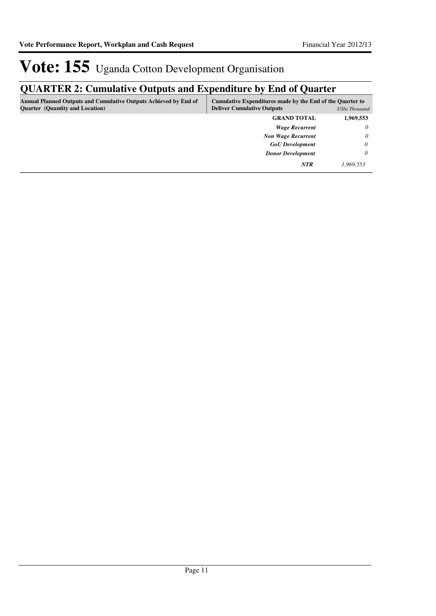## **QUARTER 2: Cumulative Outputs and Expenditure by End of Quarter**

| <b>Annual Planned Outputs and Cumulative Outputs Achieved by End of</b><br><b>Quarter</b> (Quantity and Location) | Cumulative Expenditures made by the End of the Quarter to<br><b>Deliver Cumulative Outputs</b> | <b>UShs Thousand</b> |
|-------------------------------------------------------------------------------------------------------------------|------------------------------------------------------------------------------------------------|----------------------|
|                                                                                                                   | <b>GRAND TOTAL</b>                                                                             | 1,969,553            |
|                                                                                                                   | <b>Wage Recurrent</b>                                                                          | $\theta$             |
|                                                                                                                   | <b>Non Wage Recurrent</b>                                                                      | $\theta$             |
|                                                                                                                   | <b>GoU</b> Development                                                                         | 0                    |
|                                                                                                                   | <b>Donor Development</b>                                                                       | 0                    |
|                                                                                                                   | <b>NTR</b>                                                                                     | 1,969,553            |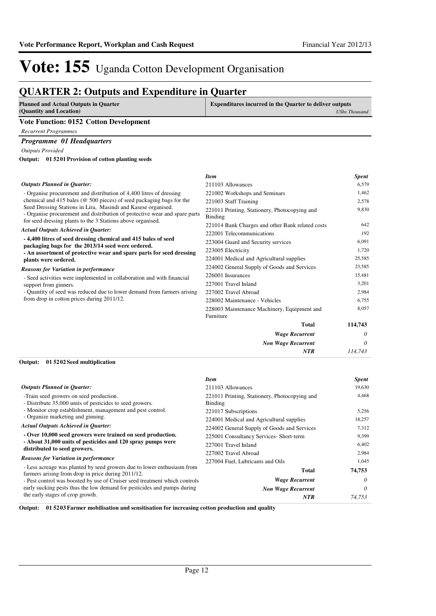*Wage Recurrent Non Wage Recurrent*

*NTR*

*0 114,743*

# Vote: 155 Uganda Cotton Development Organisation

## **QUARTER 2: Outputs and Expenditure in Quarter**

| <b>Planned and Actual Outputs in Quarter</b><br>(Quantity and Location) | <b>Expenditures incurred in the Quarter to deliver outputs</b> | UShs Thousand |
|-------------------------------------------------------------------------|----------------------------------------------------------------|---------------|
| <b>Vote Function: 0152 Cotton Development</b>                           |                                                                |               |
| <b>Recurrent Programmes</b>                                             |                                                                |               |
| <b>Programme 01 Headquarters</b>                                        |                                                                |               |
| <b>Outputs Provided</b>                                                 |                                                                |               |
| Output: 01 5201 Provision of cotton planting seeds                      |                                                                |               |
|                                                                         |                                                                |               |
|                                                                         | <b>Item</b>                                                    | Spent         |

| <b>Outputs Planned in Quarter:</b>                                                                                                                                                                         | 211103 Allowances                                               | 6,579   |
|------------------------------------------------------------------------------------------------------------------------------------------------------------------------------------------------------------|-----------------------------------------------------------------|---------|
| - Organise procurement and distribution of 4,400 litres of dressing<br>chemical and 415 bales ( $\omega$ 500 pieces) of seed packaging bags for the                                                        | 221002 Workshops and Seminars                                   | 1,462   |
|                                                                                                                                                                                                            | 221003 Staff Training                                           | 2,578   |
| Seed Dressing Stations in Lira, Masindi and Kasese organised.<br>- Organise procurement and distribution of protective wear and spare parts<br>for seed dressing plants to the 3 Stations above organised. | 221011 Printing, Stationery, Photocopying and<br><b>Binding</b> | 9,830   |
| <b>Actual Outputs Achieved in Quarter:</b>                                                                                                                                                                 | 221014 Bank Charges and other Bank related costs                | 642     |
|                                                                                                                                                                                                            | 222001 Telecommunications                                       | 192     |
| -4,400 litres of seed dressing chemical and 415 bales of seed                                                                                                                                              | 223004 Guard and Security services                              | 6,091   |
| packaging bags for the 2013/14 seed were ordered.<br>- An assortment of protective wear and spare parts for seed dressing<br>plants were ordered.                                                          | 223005 Electricity                                              | 1,720   |
|                                                                                                                                                                                                            | 224001 Medical and Agricultural supplies                        | 25,585  |
| <b>Reasons for Variation in performance</b>                                                                                                                                                                | 224002 General Supply of Goods and Services                     | 23,585  |
| - Seed activities were implemented in collaboration and with financial                                                                                                                                     | 226001 Insurances                                               | 15,481  |
| support from ginners.                                                                                                                                                                                      | 227001 Travel Inland                                            | 3,201   |
| - Quantity of seed was reduced due to lower demand from farmers arising                                                                                                                                    | 227002 Travel Abroad                                            | 2,984   |
| from drop in cotton prices during 2011/12.                                                                                                                                                                 | 228002 Maintenance - Vehicles                                   | 6,755   |
|                                                                                                                                                                                                            | 228003 Maintenance Machinery, Equipment and<br>Furniture        | 8,057   |
|                                                                                                                                                                                                            | <b>Total</b>                                                    | 114,743 |
|                                                                                                                                                                                                            | <b>Wage Recurrent</b>                                           | 0       |

#### **01 5202 Seed multiplication Output:**

|                                                                                                                               | <b>Item</b>                                              | <b>Spent</b> |
|-------------------------------------------------------------------------------------------------------------------------------|----------------------------------------------------------|--------------|
| <b>Outputs Planned in Quarter:</b>                                                                                            | 211103 Allowances                                        | 19,630       |
| -Train seed growers on seed production.<br>- Distribute 35,000 units of pesticides to seed growers.                           | 221011 Printing, Stationery, Photocopying and<br>Binding | 4.468        |
| - Monitor crop establishment, management and pest control.                                                                    | 221017 Subscriptions                                     | 5,256        |
| - Organize marketing and ginning.                                                                                             | 224001 Medical and Agricultural supplies                 | 18,257       |
| <b>Actual Outputs Achieved in Quarter:</b>                                                                                    | 224002 General Supply of Goods and Services              | 7,312        |
| - Over 10,000 seed growers were trained on seed production.                                                                   | 225001 Consultancy Services- Short-term                  | 9.399        |
| - About 31,000 units of pesticides and 120 spray pumps were<br>distributed to seed growers.                                   | 227001 Travel Inland                                     | 6,402        |
|                                                                                                                               | 227002 Travel Abroad                                     | 2,984        |
| <b>Reasons for Variation in performance</b>                                                                                   | 227004 Fuel, Lubricants and Oils                         | 1,045        |
| - Less acreage was planted by seed growers due to lower enthusiasm from<br>farmers arising from drop in price during 2011/12. | <b>Total</b>                                             | 74,753       |
| - Pest control was boosted by use of Cruiser seed treatment which controls                                                    | <b>Wage Recurrent</b>                                    | 0            |
| early sucking pests thus the low demand for pesticides and pumps during                                                       | <b>Non Wage Recurrent</b>                                | 0            |
| the early stages of crop growth.                                                                                              | <b>NTR</b>                                               | 74.753       |

**Output: 01 5203 Farmer mobilisation and sensitisation for increasing cotton production and quality**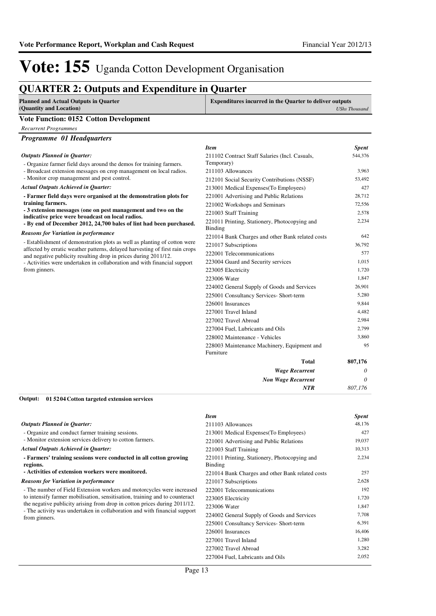## **QUARTER 2: Outputs and Expenditure in Quarter**

| <b>Planned and Actual Outputs in Quarter</b><br>(Quantity and Location) | <b>Expenditures incurred in the Quarter to deliver outputs</b><br><b>UShs Thousand</b> |
|-------------------------------------------------------------------------|----------------------------------------------------------------------------------------|
| <b>Vote Function: 0152 Cotton Development</b>                           |                                                                                        |
| Recurrent Programmes                                                    |                                                                                        |

|  |  | Programme 01 Headquarters |
|--|--|---------------------------|
|--|--|---------------------------|

|                                                                                                                                                                        | <b>Item</b>                                              | <b>Spent</b> |
|------------------------------------------------------------------------------------------------------------------------------------------------------------------------|----------------------------------------------------------|--------------|
| <b>Outputs Planned in Quarter:</b>                                                                                                                                     | 211102 Contract Staff Salaries (Incl. Casuals,           | 544,376      |
| - Organize farmer field days around the demos for training farmers.                                                                                                    | Temporary)                                               |              |
| - Broadcast extension messages on crop management on local radios.                                                                                                     | 211103 Allowances                                        | 3,963        |
| - Monitor crop management and pest control.                                                                                                                            | 212101 Social Security Contributions (NSSF)              | 53,492       |
| <b>Actual Outputs Achieved in Quarter:</b>                                                                                                                             | 213001 Medical Expenses (To Employees)                   | 427          |
| - Farmer field days were organised at the demonstration plots for                                                                                                      | 221001 Advertising and Public Relations                  | 28,712       |
| training farmers.                                                                                                                                                      | 221002 Workshops and Seminars                            | 72,556       |
| - 3 extension messages (one on pest management and two on the                                                                                                          | 221003 Staff Training                                    | 2.578        |
| indicative price were broadcast on local radios.<br>- By end of December 2012, 24,700 bales of lint had been purchased.<br><b>Reasons for Variation in performance</b> | 221011 Printing, Stationery, Photocopying and<br>Binding | 2,234        |
|                                                                                                                                                                        | 221014 Bank Charges and other Bank related costs         | 642          |
| - Establishment of demonstration plots as well as planting of cotton were                                                                                              | 221017 Subscriptions                                     | 36,792       |
| affected by erratic weather patterns, delayed harvesting of first rain crops<br>and negative publicity resulting drop in prices during 2011/12.                        | 222001 Telecommunications                                | 577          |
| - Activities were undertaken in collaboration and with financial support                                                                                               | 223004 Guard and Security services                       | 1,015        |
| from ginners.                                                                                                                                                          | 223005 Electricity                                       | 1,720        |
|                                                                                                                                                                        | 223006 Water                                             | 1,847        |
|                                                                                                                                                                        | 224002 General Supply of Goods and Services              | 26,901       |
|                                                                                                                                                                        | 225001 Consultancy Services- Short-term                  | 5,280        |
|                                                                                                                                                                        | 226001 Insurances                                        | 9,844        |
|                                                                                                                                                                        | 227001 Travel Inland                                     | 4,482        |
|                                                                                                                                                                        | 227002 Travel Abroad                                     | 2,984        |
|                                                                                                                                                                        | 227004 Fuel, Lubricants and Oils                         | 2.799        |
|                                                                                                                                                                        | 228002 Maintenance - Vehicles                            | 3.860        |
|                                                                                                                                                                        | 228003 Maintenance Machinery, Equipment and              | 95           |
|                                                                                                                                                                        | Furniture                                                |              |
|                                                                                                                                                                        | <b>Total</b>                                             | 807,176      |
|                                                                                                                                                                        | <b>Wage Recurrent</b>                                    | 0            |
|                                                                                                                                                                        | <b>Non Wage Recurrent</b>                                | 0            |
|                                                                                                                                                                        | NTR                                                      | 807,176      |

#### **01 5204 Cotton targeted extension services Output:**

|                                                                                            | <b>Item</b>                                              | <b>Spent</b> |
|--------------------------------------------------------------------------------------------|----------------------------------------------------------|--------------|
| <b>Outputs Planned in Quarter:</b>                                                         | 211103 Allowances                                        | 48,176       |
| - Organize and conduct farmer training sessions.                                           | 213001 Medical Expenses (To Employees)                   | 427          |
| - Monitor extension services delivery to cotton farmers.                                   | 221001 Advertising and Public Relations                  | 19,037       |
| <b>Actual Outputs Achieved in Quarter:</b>                                                 | 221003 Staff Training                                    | 10,313       |
| - Farmers' training sessions were conducted in all cotton growing<br>regions.              | 221011 Printing, Stationery, Photocopying and<br>Binding | 2,234        |
| - Activities of extension workers were monitored.                                          | 221014 Bank Charges and other Bank related costs         | 257          |
| <b>Reasons for Variation in performance</b>                                                | 221017 Subscriptions                                     | 2,628        |
| - The number of Field Extension workers and motorcycles were increased                     | 222001 Telecommunications                                | 192          |
| to intensify farmer mobilisation, sensitisation, training and to counteract                | 223005 Electricity                                       | 1,720        |
| the negative publicity arising from drop in cotton prices during 2011/12.                  | 223006 Water                                             | 1,847        |
| - The activity was undertaken in collaboration and with financial support<br>from ginners. | 224002 General Supply of Goods and Services              | 7,708        |
|                                                                                            | 225001 Consultancy Services- Short-term                  | 6,391        |
|                                                                                            | 226001 Insurances                                        | 16,406       |
|                                                                                            | 227001 Travel Inland                                     | 1,280        |
|                                                                                            | 227002 Travel Abroad                                     | 3,282        |
|                                                                                            | 227004 Fuel, Lubricants and Oils                         | 2,052        |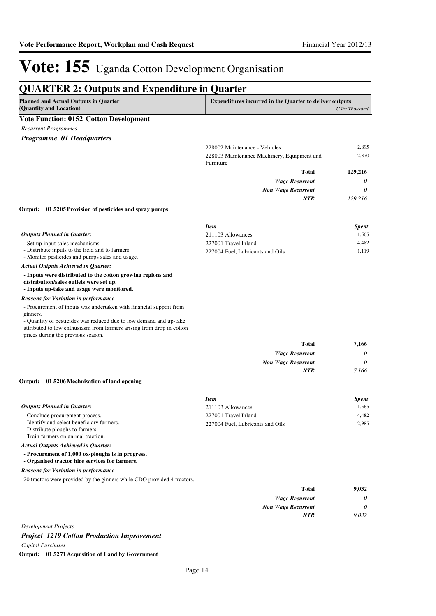| <b>Planned and Actual Outputs in Quarter</b><br>(Quantity and Location)                                                                                                                                                       | <b>Expenditures incurred in the Quarter to deliver outputs</b> | <b>UShs Thousand</b> |  |  |  |
|-------------------------------------------------------------------------------------------------------------------------------------------------------------------------------------------------------------------------------|----------------------------------------------------------------|----------------------|--|--|--|
| <b>Vote Function: 0152 Cotton Development</b>                                                                                                                                                                                 |                                                                |                      |  |  |  |
| <b>Recurrent Programmes</b>                                                                                                                                                                                                   |                                                                |                      |  |  |  |
| Programme 01 Headquarters                                                                                                                                                                                                     |                                                                |                      |  |  |  |
|                                                                                                                                                                                                                               | 228002 Maintenance - Vehicles                                  | 2,895                |  |  |  |
|                                                                                                                                                                                                                               | 228003 Maintenance Machinery, Equipment and<br>Furniture       | 2,370                |  |  |  |
|                                                                                                                                                                                                                               | <b>Total</b>                                                   | 129,216              |  |  |  |
|                                                                                                                                                                                                                               | <b>Wage Recurrent</b>                                          | 0                    |  |  |  |
|                                                                                                                                                                                                                               | <b>Non Wage Recurrent</b>                                      | 0                    |  |  |  |
|                                                                                                                                                                                                                               | <b>NTR</b>                                                     | 129,216              |  |  |  |
| 01 5205 Provision of pesticides and spray pumps<br>Output:                                                                                                                                                                    |                                                                |                      |  |  |  |
|                                                                                                                                                                                                                               | <b>Item</b>                                                    | <b>Spent</b>         |  |  |  |
| <b>Outputs Planned in Quarter:</b>                                                                                                                                                                                            | 211103 Allowances                                              | 1,565                |  |  |  |
| - Set up input sales mechanisms<br>- Distribute inputs to the field and to farmers.<br>- Monitor pesticides and pumps sales and usage.                                                                                        | 227001 Travel Inland<br>227004 Fuel, Lubricants and Oils       | 4,482<br>1.119       |  |  |  |
| <b>Actual Outputs Achieved in Quarter:</b>                                                                                                                                                                                    |                                                                |                      |  |  |  |
| - Inputs were distributed to the cotton growing regions and<br>distribution/sales outlets were set up.<br>- Inputs up-take and usage were monitored.                                                                          |                                                                |                      |  |  |  |
| <b>Reasons for Variation in performance</b>                                                                                                                                                                                   |                                                                |                      |  |  |  |
| - Procurement of inputs was undertaken with financial support from<br>ginners.<br>- Quantity of pesticides was reduced due to low demand and up-take<br>attributed to low enthusiasm from farmers arising from drop in cotton |                                                                |                      |  |  |  |
| prices during the previous season.                                                                                                                                                                                            |                                                                |                      |  |  |  |
|                                                                                                                                                                                                                               | <b>Total</b>                                                   | 7,166                |  |  |  |
|                                                                                                                                                                                                                               | <b>Wage Recurrent</b>                                          | 0                    |  |  |  |
|                                                                                                                                                                                                                               | <b>Non Wage Recurrent</b>                                      | $\theta$             |  |  |  |
|                                                                                                                                                                                                                               | <b>NTR</b>                                                     | 7,166                |  |  |  |

#### - Conclude procurement process. - Identify and select beneficiary farmers. - Distribute ploughs to farmers. *Outputs Planned in Quarter: Item Spent* 211103 Allowances 1,565 227001 Travel Inland 4,482 227004 Fuel, Lubricants and Oils 2,985

- Train farmers on animal traction.

*Actual Outputs Achieved in Quarter:*

**- Procurement of 1,000 ox-ploughs is in progress.**

**- Organised tractor hire services for farmers.**

*Reasons for Variation in performance*

20 tractors were provided by the ginners while CDO provided 4 tractors.

| <b>Total</b>              | 9,032    |
|---------------------------|----------|
| <b>Wage Recurrent</b>     | $\theta$ |
| <b>Non Wage Recurrent</b> | $\theta$ |
| <b>NTR</b>                | 9,032    |
| Development Projects      |          |

### *Project 1219 Cotton Production Improvement*

*Capital Purchases*

**Output: 01 5271 Acquisition of Land by Government**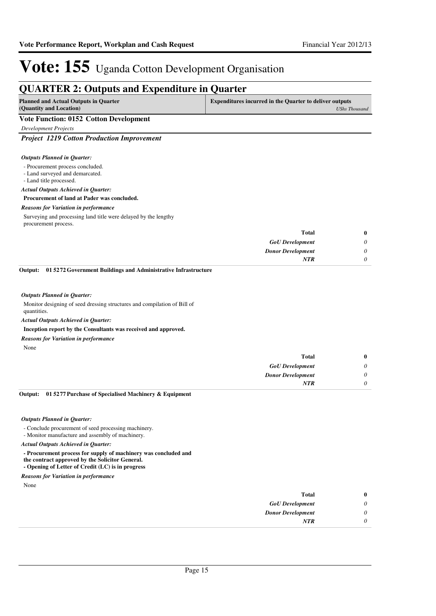### **QUARTER 2: Outputs and Expenditure in Quarter Planned and Actual Outputs in Quarter (Quantity and Location) Expenditures incurred in the Quarter to deliver outputs**  *UShs Thousand* **Vote Function: 0152 Cotton Development** *Development Projects Project 1219 Cotton Production Improvement* - Procurement process concluded. - Land surveyed and demarcated. - Land title processed. **Procurement of land at Pader was concluded.** *GoU Development Donor Development* **Total** *0 0 0* **0** *Actual Outputs Achieved in Quarter: Outputs Planned in Quarter: NTR* Surveying and processing land title were delayed by the lengthy procurement process. *Reasons for Variation in performance* Monitor designing of seed dressing structures and compilation of Bill of quantities. **Inception report by the Consultants was received and approved. 01 5272 Government Buildings and Administrative Infrastructure Output:** *Actual Outputs Achieved in Quarter: Outputs Planned in Quarter: Reasons for Variation in performance*

None

| $\bf{0}$ | <b>Total</b>             |
|----------|--------------------------|
| 0        | <b>GoU</b> Development   |
| 0        | <b>Donor Development</b> |
|          | <b>NTR</b>               |
|          |                          |

#### **01 5277 Purchase of Specialised Machinery & Equipment Output:**

#### *Outputs Planned in Quarter:*

- Conclude procurement of seed processing machinery.

- Monitor manufacture and assembly of machinery.

*Actual Outputs Achieved in Quarter:*

**- Procurement process for supply of machinery was concluded and** 

**the contract approved by the Solicitor General. - Opening of Letter of Credit (LC) is in progress**

*Reasons for Variation in performance*

None

| $\bf{0}$ | <b>Total</b>             |
|----------|--------------------------|
| 0        | <b>GoU</b> Development   |
| 0        | <b>Donor Development</b> |
| 0        | <b>NTR</b>               |
|          |                          |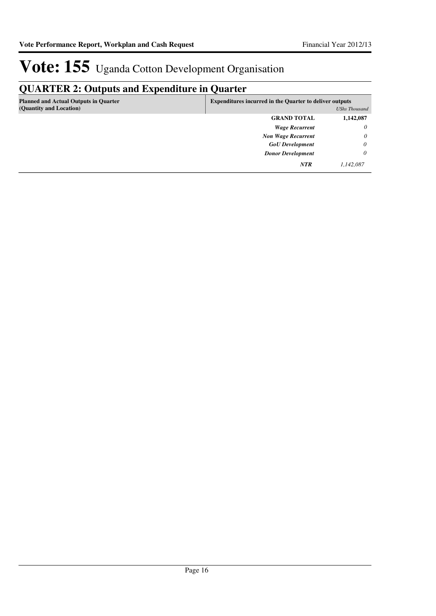## **QUARTER 2: Outputs and Expenditure in Quarter**

| <b>Planned and Actual Outputs in Quarter</b><br>(Quantity and Location) | <b>Expenditures incurred in the Quarter to deliver outputs</b> | UShs Thousand |
|-------------------------------------------------------------------------|----------------------------------------------------------------|---------------|
|                                                                         | <b>GRAND TOTAL</b>                                             | 1,142,087     |
|                                                                         | <b>Wage Recurrent</b>                                          | $\theta$      |
|                                                                         | <b>Non Wage Recurrent</b>                                      | $\theta$      |
|                                                                         | <b>GoU</b> Development                                         | $\theta$      |
|                                                                         | <b>Donor Development</b>                                       | 0             |
|                                                                         | <b>NTR</b>                                                     | 1,142,087     |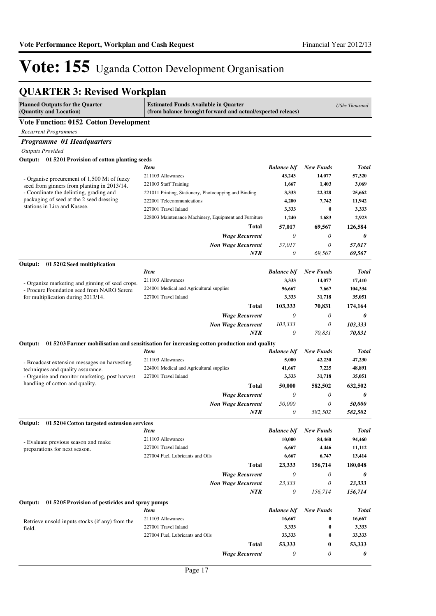## **QUARTER 3: Revised Workplan**

| <b>Planned Outputs for the Quarter</b><br>(Quantity and Location)                 | <b>Estimated Funds Available in Quarter</b><br>(from balance brought forward and actual/expected releaes) |                       |                  | <b>UShs Thousand</b> |  |
|-----------------------------------------------------------------------------------|-----------------------------------------------------------------------------------------------------------|-----------------------|------------------|----------------------|--|
| <b>Vote Function: 0152 Cotton Development</b>                                     |                                                                                                           |                       |                  |                      |  |
| <b>Recurrent Programmes</b>                                                       |                                                                                                           |                       |                  |                      |  |
| Programme 01 Headquarters                                                         |                                                                                                           |                       |                  |                      |  |
| <b>Outputs Provided</b>                                                           |                                                                                                           |                       |                  |                      |  |
| Output: 01 5201 Provision of cotton planting seeds                                |                                                                                                           |                       |                  |                      |  |
|                                                                                   | <b>Item</b>                                                                                               | <b>Balance b/f</b>    | <b>New Funds</b> | <b>Total</b>         |  |
| - Organise procurement of 1,500 Mt of fuzzy                                       | 211103 Allowances                                                                                         | 43,243                | 14,077           | 57,320               |  |
| seed from ginners from planting in 2013/14.                                       | 221003 Staff Training                                                                                     | 1,667                 | 1,403            | 3,069                |  |
| - Coordinate the delinting, grading and                                           | 221011 Printing, Stationery, Photocopying and Binding                                                     | 3,333                 | 22,328           | 25,662               |  |
| packaging of seed at the 2 seed dressing                                          | 222001 Telecommunications                                                                                 | 4,200                 | 7,742            | 11,942               |  |
| stations in Lira and Kasese.                                                      | 227001 Travel Inland                                                                                      | 3,333                 | $\bf{0}$         | 3,333                |  |
|                                                                                   | 228003 Maintenance Machinery, Equipment and Furniture                                                     | 1,240                 | 1,683            | 2,923                |  |
|                                                                                   | Total                                                                                                     | 57,017                | 69,567           | 126,584              |  |
|                                                                                   | <b>Wage Recurrent</b>                                                                                     | 0                     | 0                | 0                    |  |
|                                                                                   | <b>Non Wage Recurrent</b>                                                                                 | 57.017                | 0                | 57,017               |  |
|                                                                                   | <b>NTR</b>                                                                                                | 0                     | 69,567           | 69,567               |  |
| Output:<br>01 5202 Seed multiplication                                            |                                                                                                           |                       |                  |                      |  |
|                                                                                   | <b>Item</b>                                                                                               | <b>Balance b/f</b>    | New Funds        | <b>Total</b>         |  |
| - Organize marketing and ginning of seed crops.                                   | 211103 Allowances                                                                                         | 3,333                 | 14,077           | 17,410               |  |
| - Procure Foundation seed from NARO Serere                                        | 224001 Medical and Agricultural supplies                                                                  | 96,667                | 7,667            | 104,334              |  |
| for multiplication during 2013/14.                                                | 227001 Travel Inland                                                                                      | 3,333                 | 31,718           | 35,051               |  |
|                                                                                   | <b>Total</b>                                                                                              | 103,333               | 70,831           | 174,164              |  |
|                                                                                   | <b>Wage Recurrent</b>                                                                                     | 0                     | 0                | 0                    |  |
|                                                                                   | <b>Non Wage Recurrent</b>                                                                                 | 103,333               | 0                | 103,333              |  |
|                                                                                   | <b>NTR</b>                                                                                                | 0                     | 70,831           | 70,831               |  |
| Output:                                                                           | 01 5203 Farmer mobilisation and sensitisation for increasing cotton production and quality                |                       |                  |                      |  |
|                                                                                   | <b>Item</b>                                                                                               | <b>Balance b/f</b>    | <b>New Funds</b> | <b>Total</b>         |  |
|                                                                                   | 211103 Allowances                                                                                         | 5,000                 | 42,230           | 47,230               |  |
| - Broadcast extension messages on harvesting<br>techniques and quality assurance. | 224001 Medical and Agricultural supplies                                                                  | 41,667                | 7,225            | 48,891               |  |
| - Organise and monitor marketing, post harvest                                    | 227001 Travel Inland                                                                                      | 3,333                 | 31,718           | 35,051               |  |
| handling of cotton and quality.                                                   | <b>Total</b>                                                                                              | 50,000                | 582,502          | 632,502              |  |
|                                                                                   | <b>Wage Recurrent</b>                                                                                     | 0                     | 0                | 0                    |  |
|                                                                                   | <b>Non Wage Recurrent</b>                                                                                 | 50,000                | 0                | 50,000               |  |
|                                                                                   | <b>NTR</b>                                                                                                | 0                     | 582,502          | 582,502              |  |
|                                                                                   |                                                                                                           |                       |                  |                      |  |
| 01 5204 Cotton targeted extension services<br>Output:                             | <b>Item</b>                                                                                               | <b>Balance b/f</b>    | <b>New Funds</b> | <b>Total</b>         |  |
|                                                                                   | 211103 Allowances                                                                                         | 10,000                | 84,460           | 94,460               |  |
| - Evaluate previous season and make                                               | 227001 Travel Inland                                                                                      | 6,667                 | 4,446            | 11,112               |  |
| preparations for next season.                                                     | 227004 Fuel, Lubricants and Oils                                                                          | 6,667                 | 6,747            | 13,414               |  |
|                                                                                   | Total                                                                                                     | 23,333                | 156,714          | 180,048              |  |
|                                                                                   | <b>Wage Recurrent</b>                                                                                     | $\boldsymbol{\theta}$ | 0                | 0                    |  |
|                                                                                   |                                                                                                           | 23,333                | 0                |                      |  |
|                                                                                   | <b>Non Wage Recurrent</b><br>NTR                                                                          | 0                     | 156,714          | 23,333<br>156,714    |  |
|                                                                                   |                                                                                                           |                       |                  |                      |  |
| 01 5205 Provision of pesticides and spray pumps<br>Output:                        |                                                                                                           |                       |                  |                      |  |
|                                                                                   | <b>Item</b>                                                                                               | <b>Balance b/f</b>    | <b>New Funds</b> | <b>Total</b>         |  |
| Retrieve unsold inputs stocks (if any) from the                                   | 211103 Allowances                                                                                         | 16,667                | 0                | 16,667               |  |
| field.                                                                            | 227001 Travel Inland                                                                                      | 3,333                 | $\bf{0}$         | 3,333                |  |
|                                                                                   | 227004 Fuel, Lubricants and Oils                                                                          | 33,333                | $\bf{0}$         | 33,333               |  |
|                                                                                   | <b>Total</b>                                                                                              | 53,333                | 0                | 53,333               |  |
|                                                                                   | <b>Wage Recurrent</b>                                                                                     | 0                     | 0                | 0                    |  |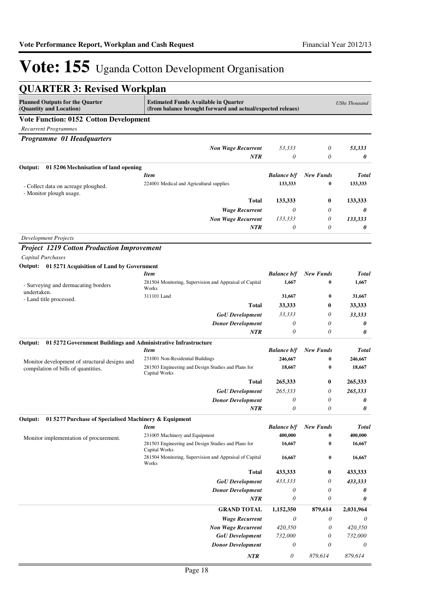| <b>QUARTER 3: Revised Workplan</b>                                        |                                                                                                           |                           |                  |                      |
|---------------------------------------------------------------------------|-----------------------------------------------------------------------------------------------------------|---------------------------|------------------|----------------------|
| <b>Planned Outputs for the Quarter</b><br>(Quantity and Location)         | <b>Estimated Funds Available in Quarter</b><br>(from balance brought forward and actual/expected releaes) |                           |                  | <b>UShs Thousand</b> |
| <b>Vote Function: 0152 Cotton Development</b>                             |                                                                                                           |                           |                  |                      |
| <b>Recurrent Programmes</b>                                               |                                                                                                           |                           |                  |                      |
| Programme 01 Headquarters                                                 |                                                                                                           |                           |                  |                      |
|                                                                           | <b>Non Wage Recurrent</b>                                                                                 | 53,333                    | 0                | 53,333               |
|                                                                           | <b>NTR</b>                                                                                                | 0                         | 0                | 0                    |
| Output:<br>01 5206 Mechnisation of land opening                           |                                                                                                           |                           |                  |                      |
|                                                                           | <b>Item</b>                                                                                               | <b>Balance b/f</b>        | <b>New Funds</b> | Total                |
| - Collect data on acreage ploughed.                                       | 224001 Medical and Agricultural supplies                                                                  | 133,333                   | $\bf{0}$         | 133,333              |
| - Monitor plough usage.                                                   |                                                                                                           |                           |                  |                      |
|                                                                           | <b>Total</b>                                                                                              | 133,333                   | 0                | 133,333              |
|                                                                           | <b>Wage Recurrent</b>                                                                                     | 0                         | 0                | 0                    |
|                                                                           | <b>Non Wage Recurrent</b>                                                                                 | 133,333                   | 0                | 133,333              |
|                                                                           | NTR                                                                                                       | 0                         | 0                | 0                    |
| <b>Development Projects</b>                                               |                                                                                                           |                           |                  |                      |
| <b>Project 1219 Cotton Production Improvement</b>                         |                                                                                                           |                           |                  |                      |
| Capital Purchases                                                         |                                                                                                           |                           |                  |                      |
| Output: 01 5271 Acquisition of Land by Government                         |                                                                                                           |                           |                  |                      |
|                                                                           | <b>Item</b>                                                                                               | <b>Balance b/f</b>        | <b>New Funds</b> | <b>Total</b>         |
| - Surveying and dermacating borders                                       | 281504 Monitoring, Supervision and Appraisal of Capital<br>Works                                          | 1,667                     | 0                | 1,667                |
| undertaken.<br>- Land title processed.                                    | 311101 Land                                                                                               | 31,667                    | 0                | 31,667               |
|                                                                           | <b>Total</b>                                                                                              | 33,333                    | 0                | 33,333               |
|                                                                           | <b>GoU</b> Development                                                                                    | 33,333                    | 0                | 33,333               |
|                                                                           | <b>Donor Development</b>                                                                                  | 0                         | 0                | 0                    |
|                                                                           | <b>NTR</b>                                                                                                | 0                         | 0                | 0                    |
| Output:<br>01 5272 Government Buildings and Administrative Infrastructure |                                                                                                           |                           |                  |                      |
|                                                                           | <b>Item</b>                                                                                               | <b>Balance b/f</b>        | <b>New Funds</b> | Total                |
| Monitor development of structural designs and                             | 231001 Non-Residential Buildings                                                                          | 246,667                   | 0                | 246,667              |
| compilation of bills of quantities.                                       | 281503 Engineering and Design Studies and Plans for<br>Capital Works                                      | 18,667                    | 0                | 18,667               |
|                                                                           | Total                                                                                                     | 265,333                   | 0                | 265,333              |
|                                                                           | <b>GoU</b> Development                                                                                    | 265,333                   | 0                | 265,333              |
|                                                                           | <b>Donor Development</b>                                                                                  | 0                         | 0                | 0                    |
|                                                                           | NTR                                                                                                       | 0                         | 0                | 0                    |
| 01 5277 Purchase of Specialised Machinery & Equipment<br>Output:          |                                                                                                           |                           |                  |                      |
|                                                                           | <b>Item</b>                                                                                               | <b>Balance b/f</b>        | <b>New Funds</b> | <b>Total</b>         |
| Monitor implementation of procurement.                                    | 231005 Machinery and Equipment                                                                            | 400,000                   | $\bf{0}$         | 400,000              |
|                                                                           | 281503 Engineering and Design Studies and Plans for<br>Capital Works                                      | 16,667                    | 0                | 16,667               |
|                                                                           | 281504 Monitoring, Supervision and Appraisal of Capital<br>Works                                          | 16,667                    | 0                | 16,667               |
|                                                                           | <b>Total</b>                                                                                              | 433,333                   | 0                | 433,333              |
|                                                                           | <b>GoU</b> Development                                                                                    | 433,333                   | 0                | 433,333              |
|                                                                           | <b>Donor Development</b>                                                                                  | 0                         | 0                | 0                    |
|                                                                           | NTR                                                                                                       | $\boldsymbol{\mathit{0}}$ | 0                | 0                    |
|                                                                           | <b>GRAND TOTAL</b>                                                                                        | 1,152,350                 | 879,614          | 2,031,964            |
|                                                                           | <b>Wage Recurrent</b>                                                                                     | $\boldsymbol{\theta}$     | 0                | 0                    |
|                                                                           | <b>Non Wage Recurrent</b>                                                                                 | 420,350                   | 0                | 420,350              |
|                                                                           | <b>GoU</b> Development                                                                                    | 732,000                   | 0                | 732,000              |
|                                                                           | <b>Donor Development</b>                                                                                  | 0                         | 0                | 0                    |
|                                                                           | <b>NTR</b>                                                                                                | 0                         | 879,614          | 879,614              |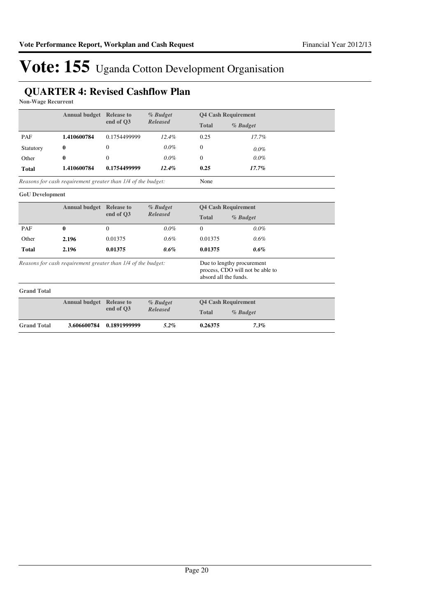## **QUARTER 4: Revised Cashflow Plan**

**Non-Wage Recurrent**

| <b>Annual budget</b> Release to |                                                                                                                                                         | % Budget          |                                 | <b>Q4 Cash Requirement</b> |                            |
|---------------------------------|---------------------------------------------------------------------------------------------------------------------------------------------------------|-------------------|---------------------------------|----------------------------|----------------------------|
|                                 |                                                                                                                                                         | end of O3         | <b>Released</b>                 | <b>Total</b>               | % Budget                   |
| PAF                             | 1.410600784                                                                                                                                             | 0.1754499999      | 12.4%                           | 0.25                       | 17.7%                      |
| Statutory                       | $\bf{0}$                                                                                                                                                | $\mathbf{0}$      | $0.0\%$                         | $\Omega$                   | $0.0\%$                    |
| Other                           | 0                                                                                                                                                       | $\mathbf{0}$      | $0.0\%$                         | $\mathbf{0}$               | 0.0%                       |
| <b>Total</b>                    | 1.410600784                                                                                                                                             | 0.1754499999      | 12.4%                           | 0.25                       | 17.7%                      |
|                                 | Reasons for cash requirement greater than 1/4 of the budget:                                                                                            |                   |                                 | None                       |                            |
| <b>GoU</b> Development          |                                                                                                                                                         |                   |                                 |                            |                            |
|                                 | <b>Annual budget</b>                                                                                                                                    | <b>Release to</b> | % Budget                        | <b>Q4 Cash Requirement</b> |                            |
|                                 |                                                                                                                                                         | end of O3         | <b>Released</b><br><b>Total</b> |                            | % Budget                   |
| PAF                             | $\bf{0}$                                                                                                                                                | $\Omega$          | $0.0\%$                         | $\Omega$                   | 0.0%                       |
| Other                           | 2.196                                                                                                                                                   | 0.01375           | 0.6%                            | 0.01375                    | 0.6%                       |
| <b>Total</b>                    | 2.196                                                                                                                                                   | 0.01375           | 0.6%                            | 0.01375                    | 0.6%                       |
|                                 | Reasons for cash requirement greater than 1/4 of the budget:<br>Due to lengthy procurement<br>process, CDO will not be able to<br>absord all the funds. |                   |                                 |                            |                            |
| <b>Grand Total</b>              |                                                                                                                                                         |                   |                                 |                            |                            |
|                                 | <b>Annual budget</b> Release to                                                                                                                         |                   | % Budget                        |                            | <b>Q4 Cash Requirement</b> |
|                                 |                                                                                                                                                         | end of O3         | <b>Released</b>                 | <b>Total</b>               | % Budget                   |
| <b>Grand Total</b>              | 3.606600784                                                                                                                                             | 0.1891999999      | $5.2\%$                         | 0.26375                    | 7.3%                       |